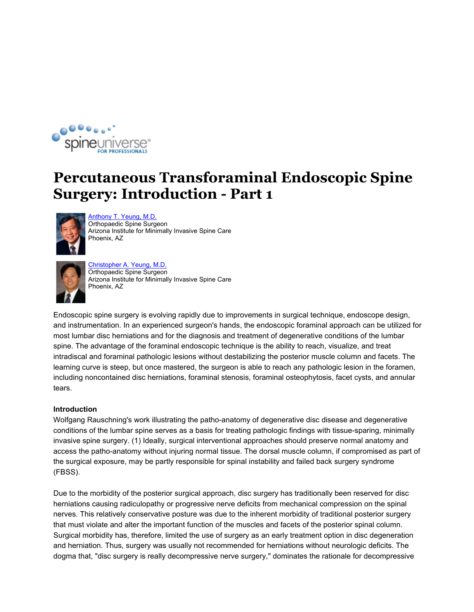

## **Percutaneous Transforaminal Endoscopic Spine Surgery: Introduction - Part 1**



Anthony T. Yeung, M.D. Orthopaedic Spine Surgeon Arizona Institute for Minimally Invasive Spine Care Phoenix, AZ



Christopher A. Yeung, M.D. Orthopaedic Spine Surgeon Arizona Institute for Minimally Invasive Spine Care Phoenix, AZ

Endoscopic spine surgery is evolving rapidly due to improvements in surgical technique, endoscope design, and instrumentation. In an experienced surgeon's hands, the endoscopic foraminal approach can be utilized for most lumbar disc herniations and for the diagnosis and treatment of degenerative conditions of the lumbar spine. The advantage of the foraminal endoscopic technique is the ability to reach, visualize, and treat intradiscal and foraminal pathologic lesions without destabilizing the posterior muscle column and facets. The learning curve is steep, but once mastered, the surgeon is able to reach any pathologic lesion in the foramen, including noncontained disc herniations, foraminal stenosis, foraminal osteophytosis, facet cysts, and annular tears.

## **Introduction**

Wolfgang Rauschning's work illustrating the patho-anatomy of degenerative disc disease and degenerative conditions of the lumbar spine serves as a basis for treating pathologic findings with tissue-sparing, minimally invasive spine surgery. (1) Ideally, surgical interventional approaches should preserve normal anatomy and access the patho-anatomy without injuring normal tissue. The dorsal muscle column, if compromised as part of the surgical exposure, may be partly responsible for spinal instability and failed back surgery syndrome (FBSS).

Due to the morbidity of the posterior surgical approach, disc surgery has traditionally been reserved for disc herniations causing radiculopathy or progressive nerve deficits from mechanical compression on the spinal nerves. This relatively conservative posture was due to the inherent morbidity of traditional posterior surgery that must violate and alter the important function of the muscles and facets of the posterior spinal column. Surgical morbidity has, therefore, limited the use of surgery as an early treatment option in disc degeneration and herniation. Thus, surgery was usually not recommended for herniations without neurologic deficits. The dogma that, "disc surgery is really decompressive nerve surgery," dominates the rationale for decompressive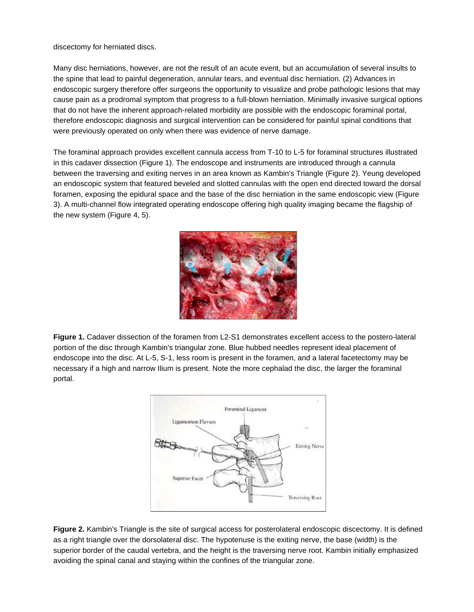discectomy for herniated discs.

Many disc herniations, however, are not the result of an acute event, but an accumulation of several insults to the spine that lead to painful degeneration, annular tears, and eventual disc herniation. (2) Advances in endoscopic surgery therefore offer surgeons the opportunity to visualize and probe pathologic lesions that may cause pain as a prodromal symptom that progress to a full-blown herniation. Minimally invasive surgical options that do not have the inherent approach-related morbidity are possible with the endoscopic foraminal portal, therefore endoscopic diagnosis and surgical intervention can be considered for painful spinal conditions that were previously operated on only when there was evidence of nerve damage.

The foraminal approach provides excellent cannula access from T-10 to L-5 for foraminal structures illustrated in this cadaver dissection (Figure 1). The endoscope and instruments are introduced through a cannula between the traversing and exiting nerves in an area known as Kambin's Triangle (Figure 2). Yeung developed an endoscopic system that featured beveled and slotted cannulas with the open end directed toward the dorsal foramen, exposing the epidural space and the base of the disc herniation in the same endoscopic view (Figure 3). A multi-channel flow integrated operating endoscope offering high quality imaging became the flagship of the new system (Figure 4, 5).



**Figure 1.** Cadaver dissection of the foramen from L2-S1 demonstrates excellent access to the postero-lateral portion of the disc through Kambin's triangular zone. Blue hubbed needles represent ideal placement of endoscope into the disc. At L-5, S-1, less room is present in the foramen, and a lateral facetectomy may be necessary if a high and narrow Ilium is present. Note the more cephalad the disc, the larger the foraminal portal.



**Figure 2.** Kambin's Triangle is the site of surgical access for posterolateral endoscopic discectomy. It is defined as a right triangle over the dorsolateral disc. The hypotenuse is the exiting nerve, the base (width) is the superior border of the caudal vertebra, and the height is the traversing nerve root. Kambin initially emphasized avoiding the spinal canal and staying within the confines of the triangular zone.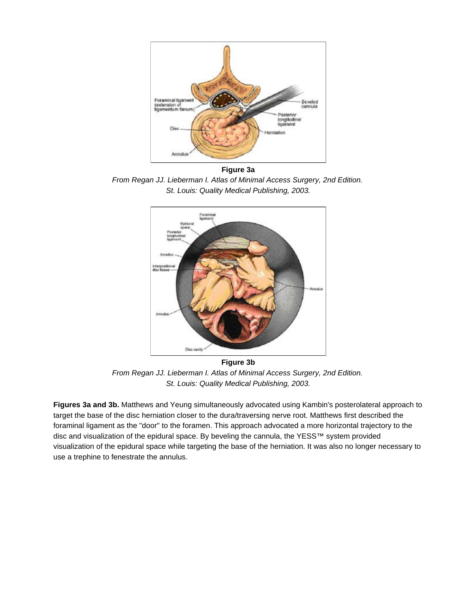

**Figure 3a** *From Regan JJ. Lieberman I. Atlas of Minimal Access Surgery, 2nd Edition. St. Louis: Quality Medical Publishing, 2003.*



**Figure 3b** *From Regan JJ. Lieberman I. Atlas of Minimal Access Surgery, 2nd Edition. St. Louis: Quality Medical Publishing, 2003.*

**Figures 3a and 3b.** Matthews and Yeung simultaneously advocated using Kambin's posterolateral approach to target the base of the disc herniation closer to the dura/traversing nerve root. Matthews first described the foraminal ligament as the "door" to the foramen. This approach advocated a more horizontal trajectory to the disc and visualization of the epidural space. By beveling the cannula, the YESS™ system provided visualization of the epidural space while targeting the base of the herniation. It was also no longer necessary to use a trephine to fenestrate the annulus.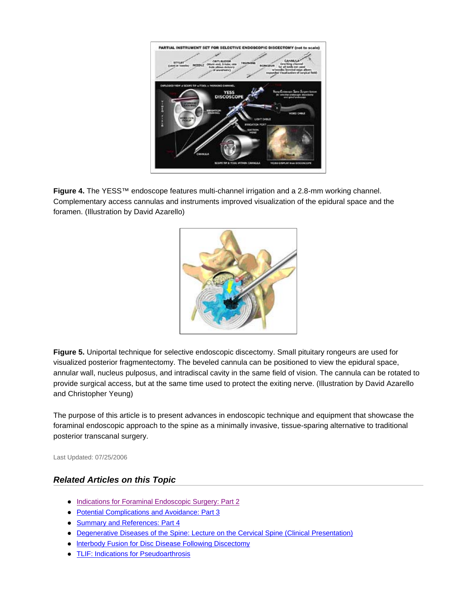

**Figure 4.** The YESS™ endoscope features multi-channel irrigation and a 2.8-mm working channel. Complementary access cannulas and instruments improved visualization of the epidural space and the foramen. (Illustration by David Azarello)



**Figure 5.** Uniportal technique for selective endoscopic discectomy. Small pituitary rongeurs are used for visualized posterior fragmentectomy. The beveled cannula can be positioned to view the epidural space, annular wall, nucleus pulposus, and intradiscal cavity in the same field of vision. The cannula can be rotated to provide surgical access, but at the same time used to protect the exiting nerve. (Illustration by David Azarello and Christopher Yeung)

The purpose of this article is to present advances in endoscopic technique and equipment that showcase the foraminal endoscopic approach to the spine as a minimally invasive, tissue-sparing alternative to traditional posterior transcanal surgery.

Last Updated: 07/25/2006

## *Related Articles on this Topic*

- Indications for Foraminal Endoscopic Surgery: Part 2
- Potential Complications and Avoidance: Part 3
- Summary and References: Part 4
- Degenerative Diseases of the Spine: Lecture on the Cervical Spine (Clinical Presentation)
- Interbody Fusion for Disc Disease Following Discectomy
- TLIF: Indications for Pseudoarthrosis